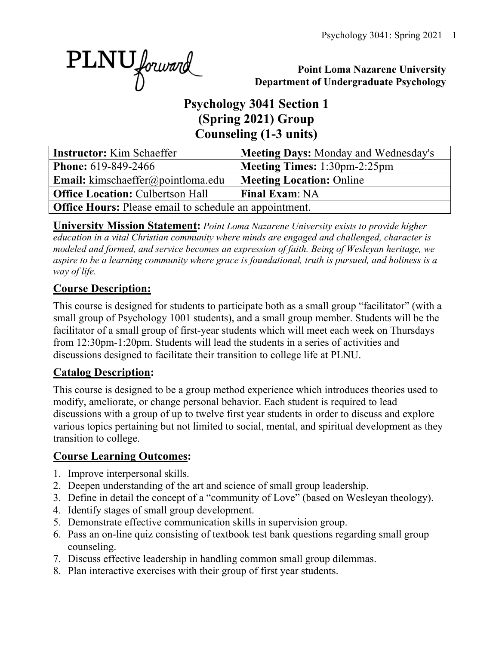PLNU forward

#### **Point Loma Nazarene University Department of Undergraduate Psychology**

# **Psychology 3041 Section 1 (Spring 2021) Group Counseling (1-3 units)**

| <b>Instructor:</b> Kim Schaeffer                              | Meeting Days: Monday and Wednesday's |  |  |  |  |  |
|---------------------------------------------------------------|--------------------------------------|--|--|--|--|--|
| <b>Phone:</b> 619-849-2466                                    | <b>Meeting Times:</b> 1:30pm-2:25pm  |  |  |  |  |  |
| Email: kimschaeffer@pointloma.edu                             | <b>Meeting Location: Online</b>      |  |  |  |  |  |
| <b>Office Location: Culbertson Hall</b>                       | <b>Final Exam: NA</b>                |  |  |  |  |  |
| <b>Office Hours:</b> Please email to schedule an appointment. |                                      |  |  |  |  |  |

**University Mission Statement:** *Point Loma Nazarene University exists to provide higher education in a vital Christian community where minds are engaged and challenged, character is modeled and formed, and service becomes an expression of faith. Being of Wesleyan heritage, we aspire to be a learning community where grace is foundational, truth is pursued, and holiness is a way of life.*

### **Course Description:**

This course is designed for students to participate both as a small group "facilitator" (with a small group of Psychology 1001 students), and a small group member. Students will be the facilitator of a small group of first-year students which will meet each week on Thursdays from 12:30pm-1:20pm. Students will lead the students in a series of activities and discussions designed to facilitate their transition to college life at PLNU.

### **Catalog Description:**

This course is designed to be a group method experience which introduces theories used to modify, ameliorate, or change personal behavior. Each student is required to lead discussions with a group of up to twelve first year students in order to discuss and explore various topics pertaining but not limited to social, mental, and spiritual development as they transition to college.

### **Course Learning Outcomes:**

- 1. Improve interpersonal skills.
- 2. Deepen understanding of the art and science of small group leadership.
- 3. Define in detail the concept of a "community of Love" (based on Wesleyan theology).
- 4. Identify stages of small group development.
- 5. Demonstrate effective communication skills in supervision group.
- 6. Pass an on-line quiz consisting of textbook test bank questions regarding small group counseling.
- 7. Discuss effective leadership in handling common small group dilemmas.
- 8. Plan interactive exercises with their group of first year students.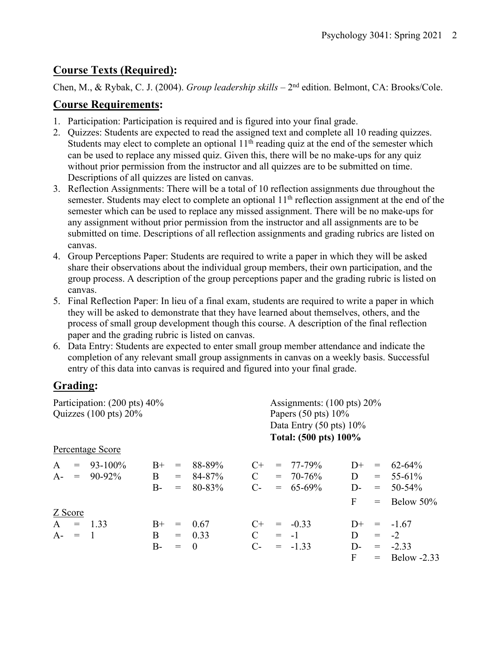### **Course Texts (Required):**

Chen, M., & Rybak, C. J. (2004). *Group leadership skills –* 2nd edition. Belmont, CA: Brooks/Cole.

### **Course Requirements:**

- 1. Participation: Participation is required and is figured into your final grade.
- 2. Quizzes: Students are expected to read the assigned text and complete all 10 reading quizzes. Students may elect to complete an optional  $11<sup>th</sup>$  reading quiz at the end of the semester which can be used to replace any missed quiz. Given this, there will be no make-ups for any quiz without prior permission from the instructor and all quizzes are to be submitted on time. Descriptions of all quizzes are listed on canvas.
- 3. Reflection Assignments: There will be a total of 10 reflection assignments due throughout the semester. Students may elect to complete an optional 11<sup>th</sup> reflection assignment at the end of the semester which can be used to replace any missed assignment. There will be no make-ups for any assignment without prior permission from the instructor and all assignments are to be submitted on time. Descriptions of all reflection assignments and grading rubrics are listed on canvas.
- 4. Group Perceptions Paper: Students are required to write a paper in which they will be asked share their observations about the individual group members, their own participation, and the group process. A description of the group perceptions paper and the grading rubric is listed on canvas.
- 5. Final Reflection Paper: In lieu of a final exam, students are required to write a paper in which they will be asked to demonstrate that they have learned about themselves, others, and the process of small group development though this course. A description of the final reflection paper and the grading rubric is listed on canvas.
- 6. Data Entry: Students are expected to enter small group member attendance and indicate the completion of any relevant small group assignments in canvas on a weekly basis. Successful entry of this data into canvas is required and figured into your final grade.

# **Grading:**

| Participation: (200 pts) 40%     |                  |       |     |          | Assignments: $(100 \text{ pts}) 20\%$ |                                |               |      |                                 |                 |  |
|----------------------------------|------------------|-------|-----|----------|---------------------------------------|--------------------------------|---------------|------|---------------------------------|-----------------|--|
| Quizzes $(100 \text{ pts}) 20\%$ |                  |       |     |          |                                       | Papers $(50 \text{ pts}) 10\%$ |               |      |                                 |                 |  |
|                                  |                  |       |     |          | Data Entry $(50 \text{ pts}) 10\%$    |                                |               |      |                                 |                 |  |
|                                  |                  |       |     |          | Total: (500 pts) 100%                 |                                |               |      |                                 |                 |  |
|                                  | Percentage Score |       |     |          |                                       |                                |               |      |                                 |                 |  |
| $\mathbf{A}$<br>$=$              | $93 - 100\%$     | $B+$  | $=$ | 88-89%   | $C+$                                  |                                | $= 77 - 79\%$ | $1+$ | $\displaystyle \qquad \qquad =$ | $62 - 64\%$     |  |
|                                  | $A - = 90-92\%$  | B     | $=$ | 84-87%   | $\mathbf C$                           |                                | $= 70 - 76\%$ | D    |                                 | $= 55-61\%$     |  |
|                                  |                  | $B-$  | $=$ | 80-83%   | $C$ -                                 |                                | $= 65-69\%$   | D-   | $=$                             | $50 - 54\%$     |  |
|                                  |                  |       |     |          |                                       |                                |               | F    | $=$                             | Below 50%       |  |
| Z Score                          |                  |       |     |          |                                       |                                |               |      |                                 |                 |  |
| $A = 1.33$                       |                  | $B+$  | $=$ | 0.67     | $C+$                                  |                                | $= -0.33$     | $D+$ |                                 | $= -1.67$       |  |
| $A - = 1$                        |                  | B     |     | $= 0.33$ | $\mathcal{C}$                         |                                | $= -1$        | D    | $=$                             | $-2$            |  |
|                                  |                  | $B -$ | $=$ | $\theta$ | $C$ -                                 |                                | $= -1.33$     | $D-$ |                                 | $= -2.33$       |  |
|                                  |                  |       |     |          |                                       |                                |               | F    |                                 | $=$ Below -2.33 |  |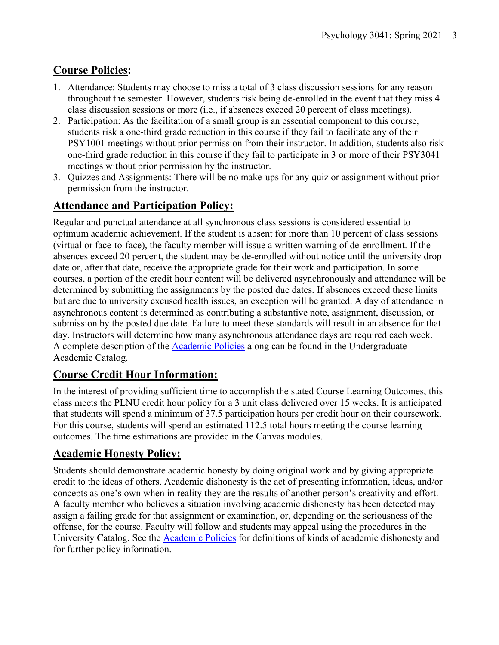# **Course Policies:**

- 1. Attendance: Students may choose to miss a total of 3 class discussion sessions for any reason throughout the semester. However, students risk being de-enrolled in the event that they miss 4 class discussion sessions or more (i.e., if absences exceed 20 percent of class meetings).
- 2. Participation: As the facilitation of a small group is an essential component to this course, students risk a one-third grade reduction in this course if they fail to facilitate any of their PSY1001 meetings without prior permission from their instructor. In addition, students also risk one-third grade reduction in this course if they fail to participate in 3 or more of their PSY3041 meetings without prior permission by the instructor.
- 3. Quizzes and Assignments: There will be no make-ups for any quiz or assignment without prior permission from the instructor.

### **Attendance and Participation Policy:**

Regular and punctual attendance at all synchronous class sessions is considered essential to optimum academic achievement. If the student is absent for more than 10 percent of class sessions (virtual or face-to-face), the faculty member will issue a written warning of de-enrollment. If the absences exceed 20 percent, the student may be de-enrolled without notice until the university drop date or, after that date, receive the appropriate grade for their work and participation. In some courses, a portion of the credit hour content will be delivered asynchronously and attendance will be determined by submitting the assignments by the posted due dates. If absences exceed these limits but are due to university excused health issues, an exception will be granted. A day of attendance in asynchronous content is determined as contributing a substantive note, assignment, discussion, or submission by the posted due date. Failure to meet these standards will result in an absence for that day. Instructors will determine how many asynchronous attendance days are required each week. A complete description of the Academic Policies along can be found in the Undergraduate Academic Catalog.

### **Course Credit Hour Information:**

In the interest of providing sufficient time to accomplish the stated Course Learning Outcomes, this class meets the PLNU credit hour policy for a 3 unit class delivered over 15 weeks. It is anticipated that students will spend a minimum of 37.5 participation hours per credit hour on their coursework. For this course, students will spend an estimated 112.5 total hours meeting the course learning outcomes. The time estimations are provided in the Canvas modules.

# **Academic Honesty Policy:**

Students should demonstrate academic honesty by doing original work and by giving appropriate credit to the ideas of others. Academic dishonesty is the act of presenting information, ideas, and/or concepts as one's own when in reality they are the results of another person's creativity and effort. A faculty member who believes a situation involving academic dishonesty has been detected may assign a failing grade for that assignment or examination, or, depending on the seriousness of the offense, for the course. Faculty will follow and students may appeal using the procedures in the University Catalog. See the Academic Policies for definitions of kinds of academic dishonesty and for further policy information.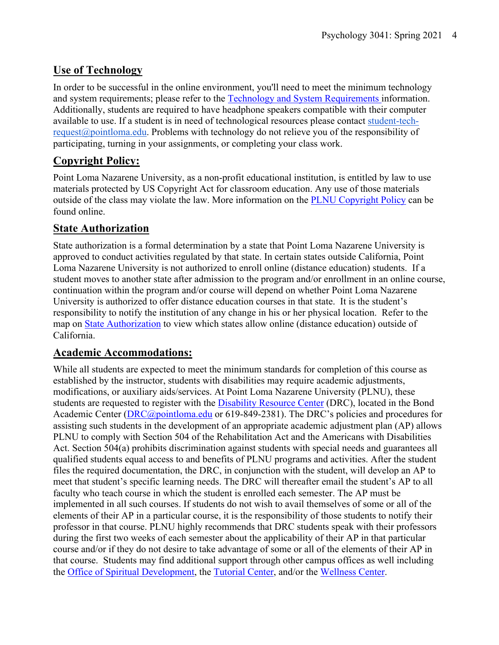### **Use of Technology**

In order to be successful in the online environment, you'll need to meet the minimum technology and system requirements; please refer to the Technology and System Requirements information. Additionally, students are required to have headphone speakers compatible with their computer available to use. If a student is in need of technological resources please contact student-techrequest@pointloma.edu. Problems with technology do not relieve you of the responsibility of participating, turning in your assignments, or completing your class work.

### **Copyright Policy:**

Point Loma Nazarene University, as a non-profit educational institution, is entitled by law to use materials protected by US Copyright Act for classroom education. Any use of those materials outside of the class may violate the law. More information on the PLNU Copyright Policy can be found online.

#### **State Authorization**

State authorization is a formal determination by a state that Point Loma Nazarene University is approved to conduct activities regulated by that state. In certain states outside California, Point Loma Nazarene University is not authorized to enroll online (distance education) students. If a student moves to another state after admission to the program and/or enrollment in an online course, continuation within the program and/or course will depend on whether Point Loma Nazarene University is authorized to offer distance education courses in that state. It is the student's responsibility to notify the institution of any change in his or her physical location. Refer to the map on State Authorization to view which states allow online (distance education) outside of California.

#### **Academic Accommodations:**

While all students are expected to meet the minimum standards for completion of this course as established by the instructor, students with disabilities may require academic adjustments, modifications, or auxiliary aids/services. At Point Loma Nazarene University (PLNU), these students are requested to register with the **Disability Resource Center** (DRC), located in the Bond Academic Center (DRC@pointloma.edu or 619-849-2381). The DRC's policies and procedures for assisting such students in the development of an appropriate academic adjustment plan (AP) allows PLNU to comply with Section 504 of the Rehabilitation Act and the Americans with Disabilities Act. Section 504(a) prohibits discrimination against students with special needs and guarantees all qualified students equal access to and benefits of PLNU programs and activities. After the student files the required documentation, the DRC, in conjunction with the student, will develop an AP to meet that student's specific learning needs. The DRC will thereafter email the student's AP to all faculty who teach course in which the student is enrolled each semester. The AP must be implemented in all such courses. If students do not wish to avail themselves of some or all of the elements of their AP in a particular course, it is the responsibility of those students to notify their professor in that course. PLNU highly recommends that DRC students speak with their professors during the first two weeks of each semester about the applicability of their AP in that particular course and/or if they do not desire to take advantage of some or all of the elements of their AP in that course. Students may find additional support through other campus offices as well including the Office of Spiritual Development, the Tutorial Center, and/or the Wellness Center.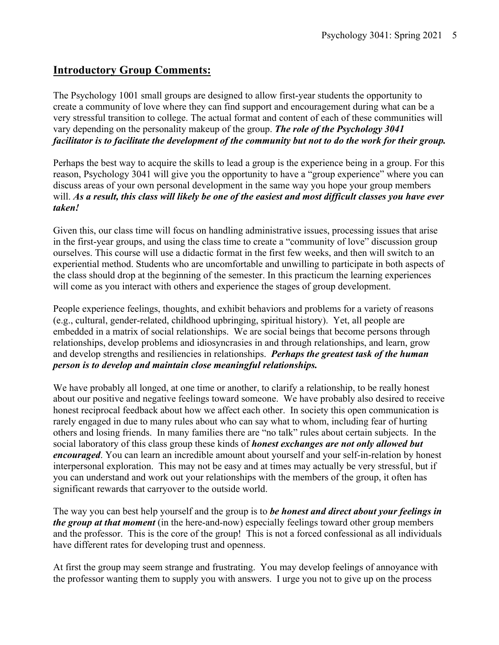#### **Introductory Group Comments:**

The Psychology 1001 small groups are designed to allow first-year students the opportunity to create a community of love where they can find support and encouragement during what can be a very stressful transition to college. The actual format and content of each of these communities will vary depending on the personality makeup of the group. *The role of the Psychology 3041 facilitator is to facilitate the development of the community but not to do the work for their group.*

Perhaps the best way to acquire the skills to lead a group is the experience being in a group. For this reason, Psychology 3041 will give you the opportunity to have a "group experience" where you can discuss areas of your own personal development in the same way you hope your group members will. *As a result, this class will likely be one of the easiest and most difficult classes you have ever taken!*

Given this, our class time will focus on handling administrative issues, processing issues that arise in the first-year groups, and using the class time to create a "community of love" discussion group ourselves. This course will use a didactic format in the first few weeks, and then will switch to an experiential method. Students who are uncomfortable and unwilling to participate in both aspects of the class should drop at the beginning of the semester. In this practicum the learning experiences will come as you interact with others and experience the stages of group development.

People experience feelings, thoughts, and exhibit behaviors and problems for a variety of reasons (e.g., cultural, gender-related, childhood upbringing, spiritual history). Yet, all people are embedded in a matrix of social relationships. We are social beings that become persons through relationships, develop problems and idiosyncrasies in and through relationships, and learn, grow and develop strengths and resiliencies in relationships. *Perhaps the greatest task of the human person is to develop and maintain close meaningful relationships.*

We have probably all longed, at one time or another, to clarify a relationship, to be really honest about our positive and negative feelings toward someone. We have probably also desired to receive honest reciprocal feedback about how we affect each other. In society this open communication is rarely engaged in due to many rules about who can say what to whom, including fear of hurting others and losing friends. In many families there are "no talk" rules about certain subjects. In the social laboratory of this class group these kinds of *honest exchanges are not only allowed but encouraged*. You can learn an incredible amount about yourself and your self-in-relation by honest interpersonal exploration. This may not be easy and at times may actually be very stressful, but if you can understand and work out your relationships with the members of the group, it often has significant rewards that carryover to the outside world.

The way you can best help yourself and the group is to *be honest and direct about your feelings in the group at that moment* (in the here-and-now) especially feelings toward other group members and the professor. This is the core of the group! This is not a forced confessional as all individuals have different rates for developing trust and openness.

At first the group may seem strange and frustrating. You may develop feelings of annoyance with the professor wanting them to supply you with answers. I urge you not to give up on the process